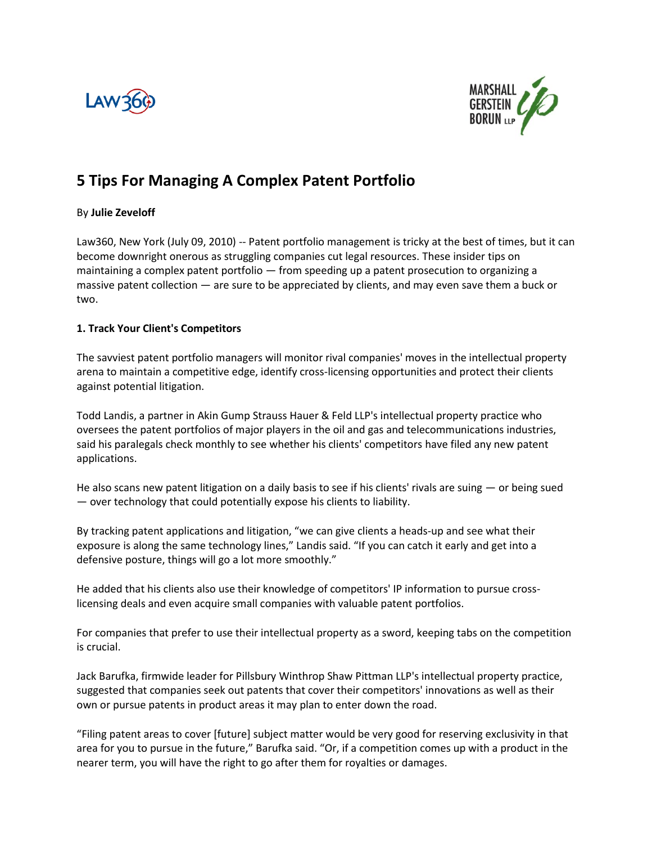



# **5 Tips For Managing A Complex Patent Portfolio**

## By **Julie Zeveloff**

Law360, New York (July 09, 2010) -- Patent portfolio management is tricky at the best of times, but it can become downright onerous as struggling companies cut legal resources. These insider tips on maintaining a complex patent portfolio — from speeding up a patent prosecution to organizing a massive patent collection — are sure to be appreciated by clients, and may even save them a buck or two.

## **1. Track Your Client's Competitors**

The savviest patent portfolio managers will monitor rival companies' moves in the intellectual property arena to maintain a competitive edge, identify cross-licensing opportunities and protect their clients against potential litigation.

Todd Landis, a partner in Akin Gump Strauss Hauer & Feld LLP's intellectual property practice who oversees the patent portfolios of major players in the oil and gas and telecommunications industries, said his paralegals check monthly to see whether his clients' competitors have filed any new patent applications.

He also scans new patent litigation on a daily basis to see if his clients' rivals are suing — or being sued — over technology that could potentially expose his clients to liability.

By tracking patent applications and litigation, "we can give clients a heads-up and see what their exposure is along the same technology lines," Landis said. "If you can catch it early and get into a defensive posture, things will go a lot more smoothly."

He added that his clients also use their knowledge of competitors' IP information to pursue crosslicensing deals and even acquire small companies with valuable patent portfolios.

For companies that prefer to use their intellectual property as a sword, keeping tabs on the competition is crucial.

Jack Barufka, firmwide leader for Pillsbury Winthrop Shaw Pittman LLP's intellectual property practice, suggested that companies seek out patents that cover their competitors' innovations as well as their own or pursue patents in product areas it may plan to enter down the road.

"Filing patent areas to cover [future] subject matter would be very good for reserving exclusivity in that area for you to pursue in the future," Barufka said. "Or, if a competition comes up with a product in the nearer term, you will have the right to go after them for royalties or damages.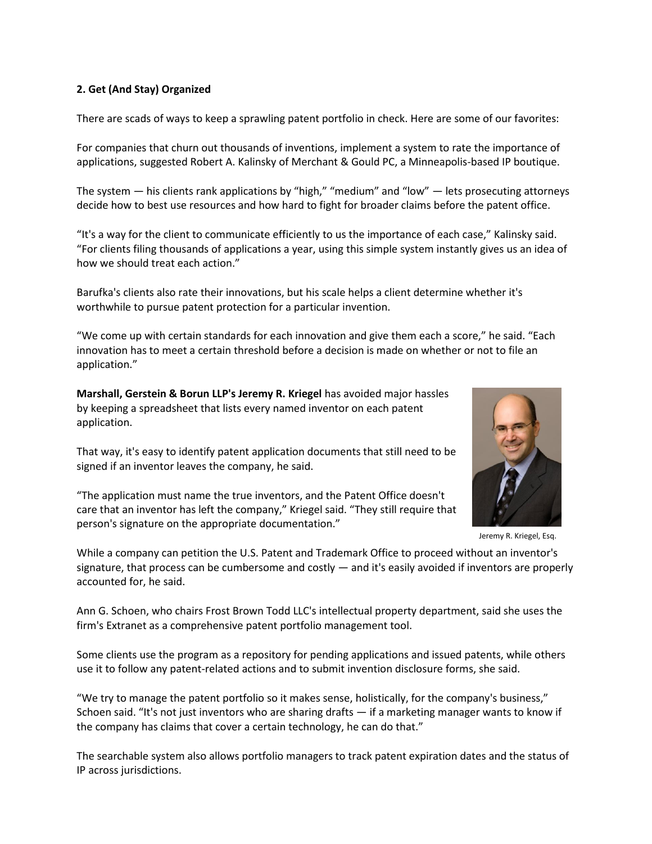## **2. Get (And Stay) Organized**

There are scads of ways to keep a sprawling patent portfolio in check. Here are some of our favorites:

For companies that churn out thousands of inventions, implement a system to rate the importance of applications, suggested Robert A. Kalinsky of Merchant & Gould PC, a Minneapolis-based IP boutique.

The system — his clients rank applications by "high," "medium" and "low" — lets prosecuting attorneys decide how to best use resources and how hard to fight for broader claims before the patent office.

"It's a way for the client to communicate efficiently to us the importance of each case," Kalinsky said. "For clients filing thousands of applications a year, using this simple system instantly gives us an idea of how we should treat each action."

Barufka's clients also rate their innovations, but his scale helps a client determine whether it's worthwhile to pursue patent protection for a particular invention.

"We come up with certain standards for each innovation and give them each a score," he said. "Each innovation has to meet a certain threshold before a decision is made on whether or not to file an application."

**Marshall, Gerstein & Borun LLP's Jeremy R. Kriegel** has avoided major hassles by keeping a spreadsheet that lists every named inventor on each patent application.

That way, it's easy to identify patent application documents that still need to be signed if an inventor leaves the company, he said.

"The application must name the true inventors, and the Patent Office doesn't care that an inventor has left the company," Kriegel said. "They still require that person's signature on the appropriate documentation."



Jeremy R. Kriegel, Esq.

While a company can petition the U.S. Patent and Trademark Office to proceed without an inventor's signature, that process can be cumbersome and costly — and it's easily avoided if inventors are properly accounted for, he said.

Ann G. Schoen, who chairs Frost Brown Todd LLC's intellectual property department, said she uses the firm's Extranet as a comprehensive patent portfolio management tool.

Some clients use the program as a repository for pending applications and issued patents, while others use it to follow any patent-related actions and to submit invention disclosure forms, she said.

"We try to manage the patent portfolio so it makes sense, holistically, for the company's business," Schoen said. "It's not just inventors who are sharing drafts — if a marketing manager wants to know if the company has claims that cover a certain technology, he can do that."

The searchable system also allows portfolio managers to track patent expiration dates and the status of IP across jurisdictions.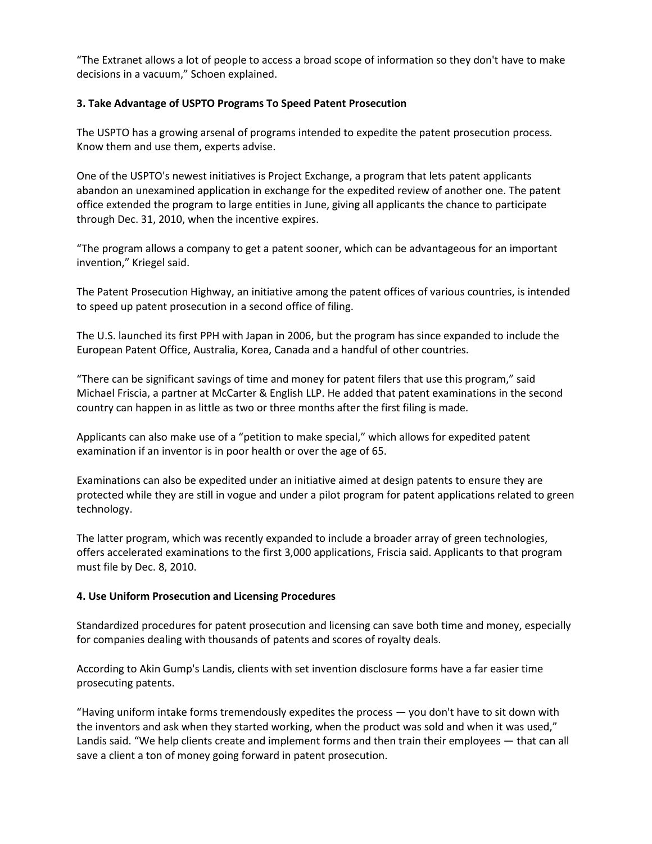"The Extranet allows a lot of people to access a broad scope of information so they don't have to make decisions in a vacuum," Schoen explained.

## **3. Take Advantage of USPTO Programs To Speed Patent Prosecution**

The USPTO has a growing arsenal of programs intended to expedite the patent prosecution process. Know them and use them, experts advise.

One of the USPTO's newest initiatives is Project Exchange, a program that lets patent applicants abandon an unexamined application in exchange for the expedited review of another one. The patent office extended the program to large entities in June, giving all applicants the chance to participate through Dec. 31, 2010, when the incentive expires.

"The program allows a company to get a patent sooner, which can be advantageous for an important invention," Kriegel said.

The Patent Prosecution Highway, an initiative among the patent offices of various countries, is intended to speed up patent prosecution in a second office of filing.

The U.S. launched its first PPH with Japan in 2006, but the program has since expanded to include the European Patent Office, Australia, Korea, Canada and a handful of other countries.

"There can be significant savings of time and money for patent filers that use this program," said Michael Friscia, a partner at McCarter & English LLP. He added that patent examinations in the second country can happen in as little as two or three months after the first filing is made.

Applicants can also make use of a "petition to make special," which allows for expedited patent examination if an inventor is in poor health or over the age of 65.

Examinations can also be expedited under an initiative aimed at design patents to ensure they are protected while they are still in vogue and under a pilot program for patent applications related to green technology.

The latter program, which was recently expanded to include a broader array of green technologies, offers accelerated examinations to the first 3,000 applications, Friscia said. Applicants to that program must file by Dec. 8, 2010.

#### **4. Use Uniform Prosecution and Licensing Procedures**

Standardized procedures for patent prosecution and licensing can save both time and money, especially for companies dealing with thousands of patents and scores of royalty deals.

According to Akin Gump's Landis, clients with set invention disclosure forms have a far easier time prosecuting patents.

"Having uniform intake forms tremendously expedites the process — you don't have to sit down with the inventors and ask when they started working, when the product was sold and when it was used," Landis said. "We help clients create and implement forms and then train their employees — that can all save a client a ton of money going forward in patent prosecution.